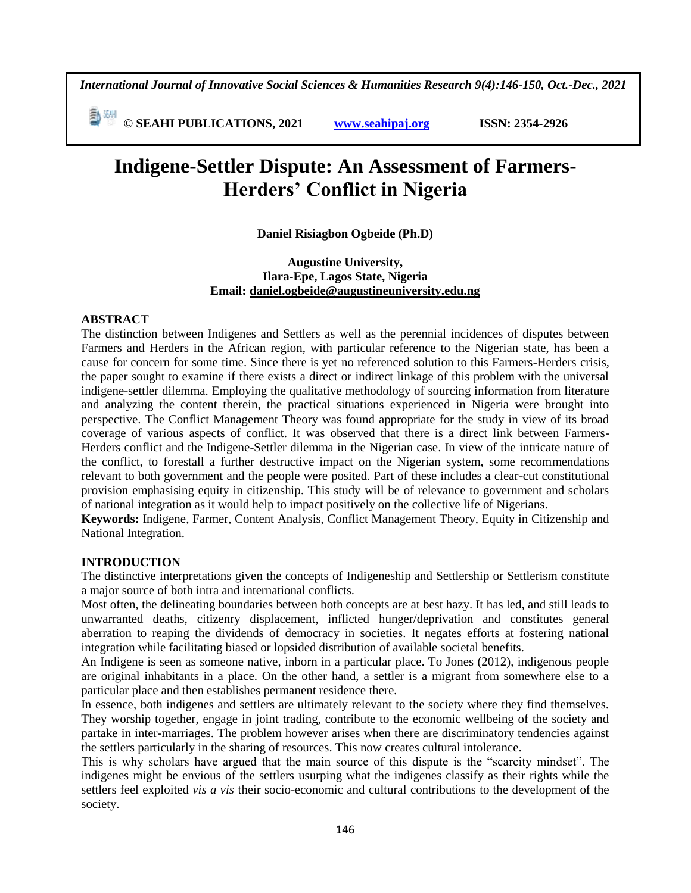*International Journal of Innovative Social Sciences & Humanities Research 9(4):146-150, Oct.-Dec., 2021*

 **© SEAHI PUBLICATIONS, 2021 [www.seahipaj.org](http://www.seahipaj.org/) ISSN: 2354-2926** 

# **Indigene-Settler Dispute: An Assessment of Farmers-Herders' Conflict in Nigeria**

**Daniel Risiagbon Ogbeide (Ph.D)**

# **Augustine University, Ilara-Epe, Lagos State, Nigeria Email: [daniel.ogbeide@augustineuniversity.edu.ng](mailto:daniel.ogbeide@augustineuniversity.edu.ng)**

# **ABSTRACT**

The distinction between Indigenes and Settlers as well as the perennial incidences of disputes between Farmers and Herders in the African region, with particular reference to the Nigerian state, has been a cause for concern for some time. Since there is yet no referenced solution to this Farmers-Herders crisis, the paper sought to examine if there exists a direct or indirect linkage of this problem with the universal indigene-settler dilemma. Employing the qualitative methodology of sourcing information from literature and analyzing the content therein, the practical situations experienced in Nigeria were brought into perspective. The Conflict Management Theory was found appropriate for the study in view of its broad coverage of various aspects of conflict. It was observed that there is a direct link between Farmers-Herders conflict and the Indigene-Settler dilemma in the Nigerian case. In view of the intricate nature of the conflict, to forestall a further destructive impact on the Nigerian system, some recommendations relevant to both government and the people were posited. Part of these includes a clear-cut constitutional provision emphasising equity in citizenship. This study will be of relevance to government and scholars of national integration as it would help to impact positively on the collective life of Nigerians.

**Keywords:** Indigene, Farmer, Content Analysis, Conflict Management Theory, Equity in Citizenship and National Integration.

### **INTRODUCTION**

The distinctive interpretations given the concepts of Indigeneship and Settlership or Settlerism constitute a major source of both intra and international conflicts.

Most often, the delineating boundaries between both concepts are at best hazy. It has led, and still leads to unwarranted deaths, citizenry displacement, inflicted hunger/deprivation and constitutes general aberration to reaping the dividends of democracy in societies. It negates efforts at fostering national integration while facilitating biased or lopsided distribution of available societal benefits.

An Indigene is seen as someone native, inborn in a particular place. To Jones (2012), indigenous people are original inhabitants in a place. On the other hand, a settler is a migrant from somewhere else to a particular place and then establishes permanent residence there.

In essence, both indigenes and settlers are ultimately relevant to the society where they find themselves. They worship together, engage in joint trading, contribute to the economic wellbeing of the society and partake in inter-marriages. The problem however arises when there are discriminatory tendencies against the settlers particularly in the sharing of resources. This now creates cultural intolerance.

This is why scholars have argued that the main source of this dispute is the "scarcity mindset". The indigenes might be envious of the settlers usurping what the indigenes classify as their rights while the settlers feel exploited *vis a vis* their socio-economic and cultural contributions to the development of the society.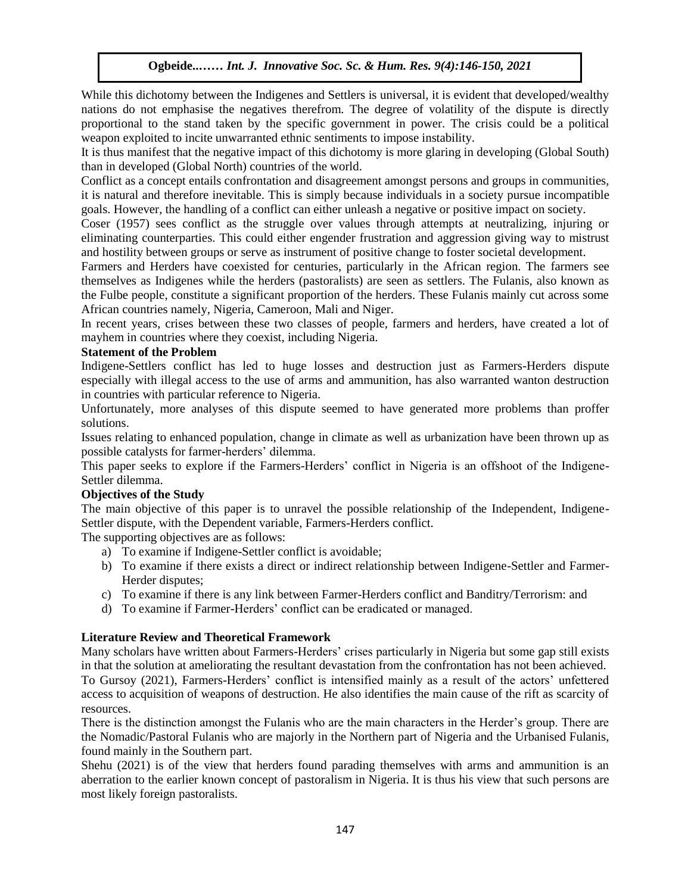While this dichotomy between the Indigenes and Settlers is universal, it is evident that developed/wealthy nations do not emphasise the negatives therefrom. The degree of volatility of the dispute is directly proportional to the stand taken by the specific government in power. The crisis could be a political weapon exploited to incite unwarranted ethnic sentiments to impose instability.

It is thus manifest that the negative impact of this dichotomy is more glaring in developing (Global South) than in developed (Global North) countries of the world.

Conflict as a concept entails confrontation and disagreement amongst persons and groups in communities, it is natural and therefore inevitable. This is simply because individuals in a society pursue incompatible goals. However, the handling of a conflict can either unleash a negative or positive impact on society.

Coser (1957) sees conflict as the struggle over values through attempts at neutralizing, injuring or eliminating counterparties. This could either engender frustration and aggression giving way to mistrust and hostility between groups or serve as instrument of positive change to foster societal development.

Farmers and Herders have coexisted for centuries, particularly in the African region. The farmers see themselves as Indigenes while the herders (pastoralists) are seen as settlers. The Fulanis, also known as the Fulbe people, constitute a significant proportion of the herders. These Fulanis mainly cut across some African countries namely, Nigeria, Cameroon, Mali and Niger.

In recent years, crises between these two classes of people, farmers and herders, have created a lot of mayhem in countries where they coexist, including Nigeria.

### **Statement of the Problem**

Indigene-Settlers conflict has led to huge losses and destruction just as Farmers-Herders dispute especially with illegal access to the use of arms and ammunition, has also warranted wanton destruction in countries with particular reference to Nigeria.

Unfortunately, more analyses of this dispute seemed to have generated more problems than proffer solutions.

Issues relating to enhanced population, change in climate as well as urbanization have been thrown up as possible catalysts for farmer-herders' dilemma.

This paper seeks to explore if the Farmers-Herders' conflict in Nigeria is an offshoot of the Indigene-Settler dilemma.

### **Objectives of the Study**

The main objective of this paper is to unravel the possible relationship of the Independent, Indigene-Settler dispute, with the Dependent variable, Farmers-Herders conflict.

The supporting objectives are as follows:

- a) To examine if Indigene-Settler conflict is avoidable;
- b) To examine if there exists a direct or indirect relationship between Indigene-Settler and Farmer-Herder disputes;
- c) To examine if there is any link between Farmer-Herders conflict and Banditry/Terrorism: and
- d) To examine if Farmer-Herders' conflict can be eradicated or managed.

### **Literature Review and Theoretical Framework**

Many scholars have written about Farmers-Herders' crises particularly in Nigeria but some gap still exists in that the solution at ameliorating the resultant devastation from the confrontation has not been achieved. To Gursoy (2021), Farmers-Herders' conflict is intensified mainly as a result of the actors' unfettered access to acquisition of weapons of destruction. He also identifies the main cause of the rift as scarcity of resources.

There is the distinction amongst the Fulanis who are the main characters in the Herder's group. There are the Nomadic/Pastoral Fulanis who are majorly in the Northern part of Nigeria and the Urbanised Fulanis, found mainly in the Southern part.

Shehu (2021) is of the view that herders found parading themselves with arms and ammunition is an aberration to the earlier known concept of pastoralism in Nigeria. It is thus his view that such persons are most likely foreign pastoralists.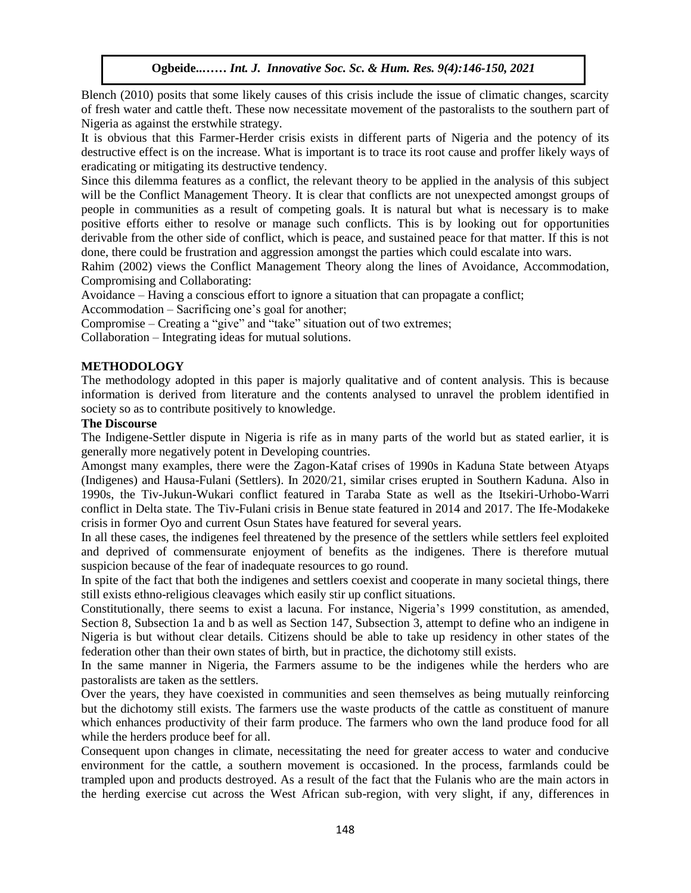Blench (2010) posits that some likely causes of this crisis include the issue of climatic changes, scarcity of fresh water and cattle theft. These now necessitate movement of the pastoralists to the southern part of Nigeria as against the erstwhile strategy.

It is obvious that this Farmer-Herder crisis exists in different parts of Nigeria and the potency of its destructive effect is on the increase. What is important is to trace its root cause and proffer likely ways of eradicating or mitigating its destructive tendency.

Since this dilemma features as a conflict, the relevant theory to be applied in the analysis of this subject will be the Conflict Management Theory. It is clear that conflicts are not unexpected amongst groups of people in communities as a result of competing goals. It is natural but what is necessary is to make positive efforts either to resolve or manage such conflicts. This is by looking out for opportunities derivable from the other side of conflict, which is peace, and sustained peace for that matter. If this is not done, there could be frustration and aggression amongst the parties which could escalate into wars.

Rahim (2002) views the Conflict Management Theory along the lines of Avoidance, Accommodation, Compromising and Collaborating: romising and Collaborating:

Avoidance – Having a conscious effort to ignore a situation that can propagate a conflict;

Accommodation – Sacrificing one's goal for another;

Compromise – Creating a "give" and "take" situation out of two extremes;

Collaboration – Integrating ideas for mutual solutions.

### **METHODOLOGY**

The methodology adopted in this paper is majorly qualitative and of content analysis. This is because information is derived from literature and the contents analysed to unravel the problem identified in society so as to contribute positively to knowledge.

## **The Discourse**

The Indigene-Settler dispute in Nigeria is rife as in many parts of the world but as stated earlier, it is generally more negatively potent in Developing countries.

Amongst many examples, there were the Zagon-Kataf crises of 1990s in Kaduna State between Atyaps (Indigenes) and Hausa-Fulani (Settlers). In 2020/21, similar crises erupted in Southern Kaduna. Also in 1990s, the Tiv-Jukun-Wukari conflict featured in Taraba State as well as the Itsekiri-Urhobo-Warri conflict in Delta state. The Tiv-Fulani crisis in Benue state featured in 2014 and 2017. The Ife-Modakeke crisis in former Oyo and current Osun States have featured for several years.

In all these cases, the indigenes feel threatened by the presence of the settlers while settlers feel exploited and deprived of commensurate enjoyment of benefits as the indigenes. There is therefore mutual suspicion because of the fear of inadequate resources to go round.

In spite of the fact that both the indigenes and settlers coexist and cooperate in many societal things, there still exists ethno-religious cleavages which easily stir up conflict situations.

Constitutionally, there seems to exist a lacuna. For instance, Nigeria's 1999 constitution, as amended, Section 8, Subsection 1a and b as well as Section 147, Subsection 3, attempt to define who an indigene in Nigeria is but without clear details. Citizens should be able to take up residency in other states of the federation other than their own states of birth, but in practice, the dichotomy still exists.

In the same manner in Nigeria, the Farmers assume to be the indigenes while the herders who are pastoralists are taken as the settlers.

Over the years, they have coexisted in communities and seen themselves as being mutually reinforcing but the dichotomy still exists. The farmers use the waste products of the cattle as constituent of manure which enhances productivity of their farm produce. The farmers who own the land produce food for all while the herders produce beef for all.

Consequent upon changes in climate, necessitating the need for greater access to water and conducive environment for the cattle, a southern movement is occasioned. In the process, farmlands could be trampled upon and products destroyed. As a result of the fact that the Fulanis who are the main actors in the herding exercise cut across the West African sub-region, with very slight, if any, differences in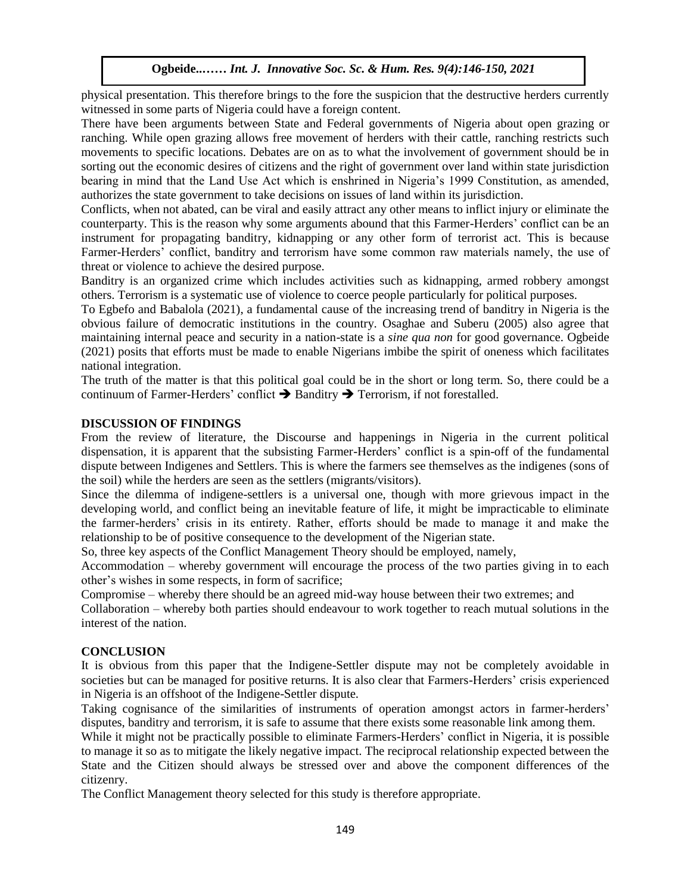physical presentation. This therefore brings to the fore the suspicion that the destructive herders currently witnessed in some parts of Nigeria could have a foreign content.

There have been arguments between State and Federal governments of Nigeria about open grazing or ranching. While open grazing allows free movement of herders with their cattle, ranching restricts such movements to specific locations. Debates are on as to what the involvement of government should be in sorting out the economic desires of citizens and the right of government over land within state jurisdiction bearing in mind that the Land Use Act which is enshrined in Nigeria's 1999 Constitution, as amended, authorizes the state government to take decisions on issues of land within its jurisdiction.

Conflicts, when not abated, can be viral and easily attract any other means to inflict injury or eliminate the counterparty. This is the reason why some arguments abound that this Farmer-Herders' conflict can be an instrument for propagating banditry, kidnapping or any other form of terrorist act. This is because Farmer-Herders' conflict, banditry and terrorism have some common raw materials namely, the use of threat or violence to achieve the desired purpose.

Banditry is an organized crime which includes activities such as kidnapping, armed robbery amongst others. Terrorism is a systematic use of violence to coerce people particularly for political purposes.

To Egbefo and Babalola (2021), a fundamental cause of the increasing trend of banditry in Nigeria is the obvious failure of democratic institutions in the country. Osaghae and Suberu (2005) also agree that maintaining internal peace and security in a nation-state is a *sine qua non* for good governance. Ogbeide (2021) posits that efforts must be made to enable Nigerians imbibe the spirit of oneness which facilitates national integration.

The truth of the matter is that this political goal could be in the short or long term. So, there could be a continuum of Farmer-Herders' conflict  $\rightarrow$  Banditry  $\rightarrow$  Terrorism, if not forestalled.

#### **DISCUSSION OF FINDINGS**

From the review of literature, the Discourse and happenings in Nigeria in the current political dispensation, it is apparent that the subsisting Farmer-Herders' conflict is a spin-off of the fundamental dispute between Indigenes and Settlers. This is where the farmers see themselves as the indigenes (sons of the soil) while the herders are seen as the settlers (migrants/visitors).

Since the dilemma of indigene-settlers is a universal one, though with more grievous impact in the developing world, and conflict being an inevitable feature of life, it might be impracticable to eliminate the farmer-herders' crisis in its entirety. Rather, efforts should be made to manage it and make the relationship to be of positive consequence to the development of the Nigerian state.

So, three key aspects of the Conflict Management Theory should be employed, namely,

Accommodation – whereby government will encourage the process of the two parties giving in to each other's wishes in some respects, in form of sacrifice;

Compromise – whereby there should be an agreed mid-way house between their two extremes; and

Collaboration – whereby both parties should endeavour to work together to reach mutual solutions in the interest of the nation.

### **CONCLUSION**

It is obvious from this paper that the Indigene-Settler dispute may not be completely avoidable in societies but can be managed for positive returns. It is also clear that Farmers-Herders' crisis experienced in Nigeria is an offshoot of the Indigene-Settler dispute.

Taking cognisance of the similarities of instruments of operation amongst actors in farmer-herders' disputes, banditry and terrorism, it is safe to assume that there exists some reasonable link among them.

While it might not be practically possible to eliminate Farmers-Herders' conflict in Nigeria, it is possible to manage it so as to mitigate the likely negative impact. The reciprocal relationship expected between the State and the Citizen should always be stressed over and above the component differences of the citizenry.

The Conflict Management theory selected for this study is therefore appropriate.